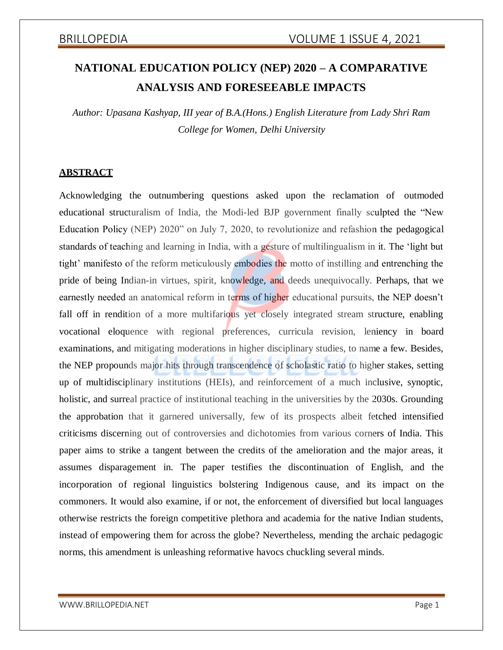# **NATIONAL EDUCATION POLICY (NEP) 2020 – A COMPARATIVE ANALYSIS AND FORESEEABLE IMPACTS**

*Author: Upasana Kashyap, III year of B.A.(Hons.) English Literature from Lady Shri Ram College for Women, Delhi University*

### **ABSTRACT**

Acknowledging the outnumbering questions asked upon the reclamation of outmoded educational structuralism of India, the Modi-led BJP government finally sculpted the "New Education Policy (NEP) 2020" on July 7, 2020, to revolutionize and refashion the pedagogical standards of teaching and learning in India, with a gesture of multilingualism in it. The 'light but tight' manifesto of the reform meticulously embodies the motto of instilling and entrenching the pride of being Indian-in virtues, spirit, knowledge, and deeds unequivocally. Perhaps, that we earnestly needed an anatomical reform in terms of higher educational pursuits, the NEP doesn't fall off in rendition of a more multifarious yet closely integrated stream structure, enabling vocational eloquence with regional preferences, curricula revision, leniency in board examinations, and mitigating moderations in higher disciplinary studies, to name a few. Besides, the NEP propounds major hits through transcendence of scholastic ratio to higher stakes, setting up of multidisciplinary institutions (HEIs), and reinforcement of a much inclusive, synoptic, holistic, and surreal practice of institutional teaching in the universities by the 2030s. Grounding the approbation that it garnered universally, few of its prospects albeit fetched intensified criticisms discerning out of controversies and dichotomies from various corners of India. This paper aims to strike a tangent between the credits of the amelioration and the major areas, it assumes disparagement in. The paper testifies the discontinuation of English, and the incorporation of regional linguistics bolstering Indigenous cause, and its impact on the commoners. It would also examine, if or not, the enforcement of diversified but local languages otherwise restricts the foreign competitive plethora and academia for the native Indian students, instead of empowering them for across the globe? Nevertheless, mending the archaic pedagogic norms, this amendment is unleashing reformative havocs chuckling several minds.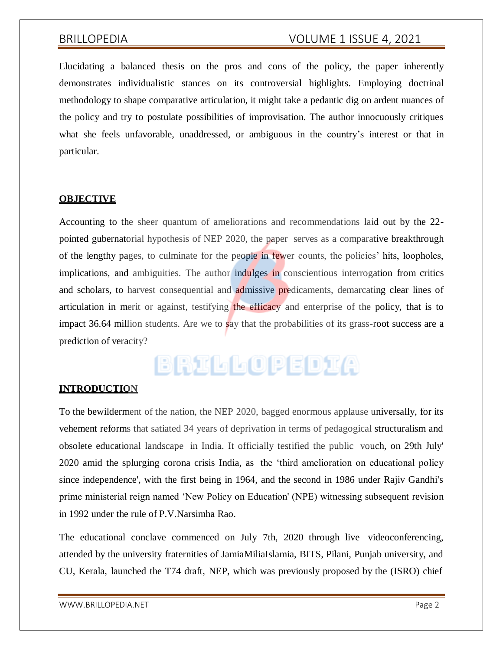Elucidating a balanced thesis on the pros and cons of the policy, the paper inherently demonstrates individualistic stances on its controversial highlights. Employing doctrinal methodology to shape comparative articulation, it might take a pedantic dig on ardent nuances of the policy and try to postulate possibilities of improvisation. The author innocuously critiques what she feels unfavorable, unaddressed, or ambiguous in the country's interest or that in particular.

### **OBJECTIVE**

Accounting to the sheer quantum of ameliorations and recommendations laid out by the 22 pointed gubernatorial hypothesis of NEP 2020, the paper serves as a comparative breakthrough of the lengthy pages, to culminate for the people in fewer counts, the policies' hits, loopholes, implications, and ambiguities. The author indulges in conscientious interrogation from critics and scholars, to harvest consequential and admissive predicaments, demarcating clear lines of articulation in merit or against, testifying the efficacy and enterprise of the policy, that is to impact 36.64 million students. Are we to say that the probabilities of its grass-root success are a prediction of veracity?

# BRILLOPEDIA

### **INTRODUCTION**

To the bewilderment of the nation, the NEP 2020, bagged enormous applause universally, for its vehement reforms that satiated 34 years of deprivation in terms of pedagogical structuralism and obsolete educational landscape in India. It officially testified the public vouch, on 29th July' 2020 amid the splurging corona crisis India, as the 'third amelioration on educational policy since independence', with the first being in 1964, and the second in 1986 under Rajiv Gandhi's prime ministerial reign named 'New Policy on Education' (NPE) witnessing subsequent revision in 1992 under the rule of P.V.Narsimha Rao.

The educational conclave commenced on July 7th, 2020 through live videoconferencing, attended by the university fraternities of JamiaMiliaIslamia, BITS, Pilani, Punjab university, and CU, Kerala, launched the T74 draft, NEP, which was previously proposed by the (ISRO) chief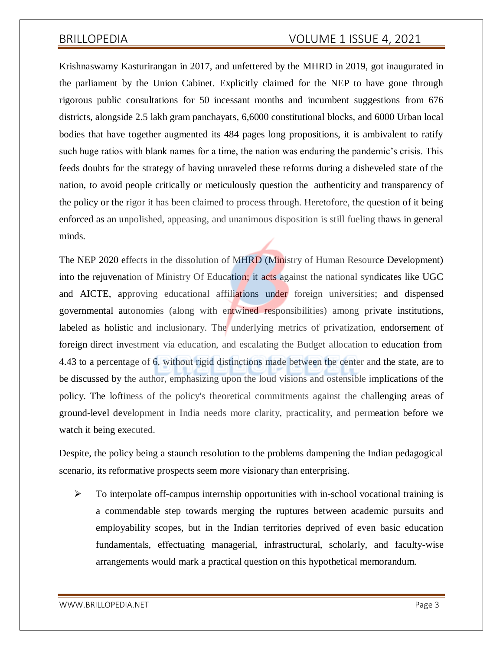Krishnaswamy Kasturirangan in 2017, and unfettered by the MHRD in 2019, got inaugurated in the parliament by the Union Cabinet. Explicitly claimed for the NEP to have gone through rigorous public consultations for 50 incessant months and incumbent suggestions from 676 districts, alongside 2.5 lakh gram panchayats, 6,6000 constitutional blocks, and 6000 Urban local bodies that have together augmented its 484 pages long propositions, it is ambivalent to ratify such huge ratios with blank names for a time, the nation was enduring the pandemic's crisis. This feeds doubts for the strategy of having unraveled these reforms during a disheveled state of the nation, to avoid people critically or meticulously question the authenticity and transparency of the policy or the rigor it has been claimed to process through. Heretofore, the question of it being enforced as an unpolished, appeasing, and unanimous disposition is still fueling thaws in general minds.

The NEP 2020 effects in the dissolution of MHRD (Ministry of Human Resource Development) into the rejuvenation of Ministry Of Education; it acts against the national syndicates like UGC and AICTE, approving educational affiliations under foreign universities; and dispensed governmental autonomies (along with entwined responsibilities) among private institutions, labeled as holistic and inclusionary. The underlying metrics of privatization, endorsement of foreign direct investment via education, and escalating the Budget allocation to education from 4.43 to a percentage of 6, without rigid distinctions made between the center and the state, are to be discussed by the author, emphasizing upon the loud visions and ostensible implications of the policy. The loftiness of the policy's theoretical commitments against the challenging areas of ground-level development in India needs more clarity, practicality, and permeation before we watch it being executed.

Despite, the policy being a staunch resolution to the problems dampening the Indian pedagogical scenario, its reformative prospects seem more visionary than enterprising.

 $\triangleright$  To interpolate off-campus internship opportunities with in-school vocational training is a commendable step towards merging the ruptures between academic pursuits and employability scopes, but in the Indian territories deprived of even basic education fundamentals, effectuating managerial, infrastructural, scholarly, and faculty-wise arrangements would mark a practical question on this hypothetical memorandum.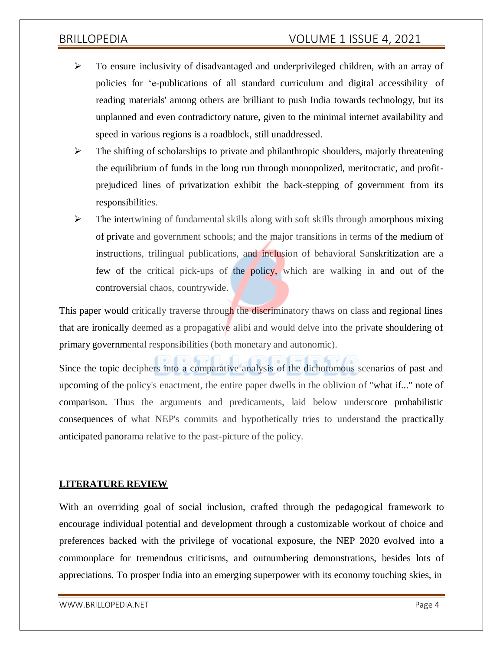- To ensure inclusivity of disadvantaged and underprivileged children, with an array of policies for 'e-publications of all standard curriculum and digital accessibility of reading materials' among others are brilliant to push India towards technology, but its unplanned and even contradictory nature, given to the minimal internet availability and speed in various regions is a roadblock, still unaddressed.
- $\triangleright$  The shifting of scholarships to private and philanthropic shoulders, majorly threatening the equilibrium of funds in the long run through monopolized, meritocratic, and profitprejudiced lines of privatization exhibit the back-stepping of government from its responsibilities.
- $\triangleright$  The intertwining of fundamental skills along with soft skills through amorphous mixing of private and government schools; and the major transitions in terms of the medium of instructions, trilingual publications, and inclusion of behavioral Sanskritization are a few of the critical pick-ups of the policy, which are walking in and out of the controversial chaos, countrywide.

This paper would critically traverse through the discriminatory thaws on class and regional lines that are ironically deemed as a propagative alibi and would delve into the private shouldering of primary governmental responsibilities (both monetary and autonomic).

Since the topic deciphers into a comparative analysis of the dichotomous scenarios of past and upcoming of the policy's enactment, the entire paper dwells in the oblivion of "what if..." note of comparison. Thus the arguments and predicaments, laid below underscore probabilistic consequences of what NEP's commits and hypothetically tries to understand the practically anticipated panorama relative to the past-picture of the policy.

### **LITERATURE REVIEW**

With an overriding goal of social inclusion, crafted through the pedagogical framework to encourage individual potential and development through a customizable workout of choice and preferences backed with the privilege of vocational exposure, the NEP 2020 evolved into a commonplace for tremendous criticisms, and outnumbering demonstrations, besides lots of appreciations. To prosper India into an emerging superpower with its economy touching skies, in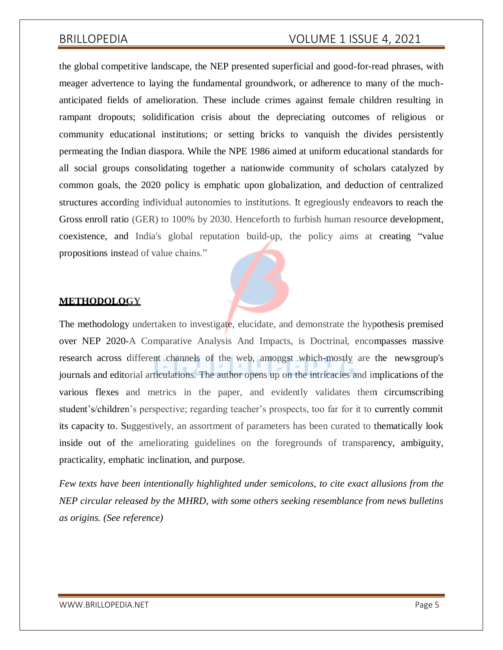the global competitive landscape, the NEP presented superficial and good-for-read phrases, with meager advertence to laying the fundamental groundwork, or adherence to many of the muchanticipated fields of amelioration. These include crimes against female children resulting in rampant dropouts; solidification crisis about the depreciating outcomes of religious or community educational institutions; or setting bricks to vanquish the divides persistently permeating the Indian diaspora. While the NPE 1986 aimed at uniform educational standards for all social groups consolidating together a nationwide community of scholars catalyzed by common goals, the 2020 policy is emphatic upon globalization, and deduction of centralized structures according individual autonomies to institutions. It egregiously endeavors to reach the Gross enroll ratio (GER) to 100% by 2030. Henceforth to furbish human resource development, coexistence, and India's global reputation build-up, the policy aims at creating "value propositions instead of value chains."

### **METHODOLOGY**

The methodology undertaken to investigate, elucidate, and demonstrate the hypothesis premised over NEP 2020-A Comparative Analysis And Impacts, is Doctrinal, encompasses massive research across different channels of the web, amongst which-mostly are the newsgroup's journals and editorial articulations. The author opens up on the intricacies and implications of the various flexes and metrics in the paper, and evidently validates them circumscribing student's/children's perspective; regarding teacher's prospects, too far for it to currently commit its capacity to. Suggestively, an assortment of parameters has been curated to thematically look inside out of the ameliorating guidelines on the foregrounds of transparency, ambiguity, practicality, emphatic inclination, and purpose.

*Few texts have been intentionally highlighted under semicolons, to cite exact allusions from the NEP circular released by the MHRD, with some others seeking resemblance from news bulletins as origins. (See reference)*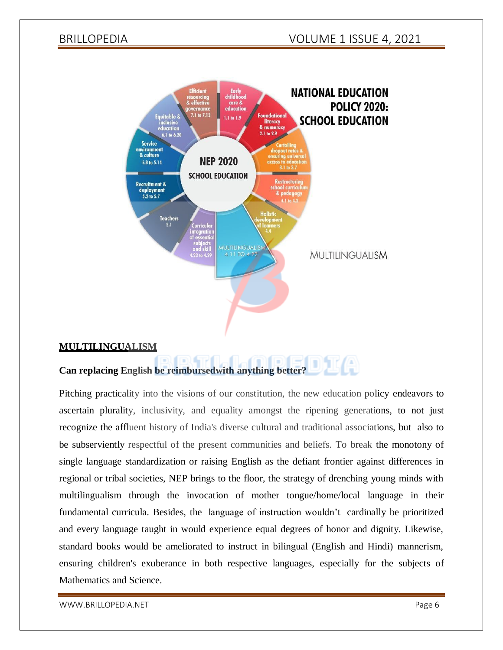

### letri. Loori **Can replacing English be reimbursedwith anything better?**

Pitching practicality into the visions of our constitution, the new education policy endeavors to ascertain plurality, inclusivity, and equality amongst the ripening generations, to not just recognize the affluent history of India's diverse cultural and traditional associations, but also to be subserviently respectful of the present communities and beliefs. To break the monotony of single language standardization or raising English as the defiant frontier against differences in regional or tribal societies, NEP brings to the floor, the strategy of drenching young minds with multilingualism through the invocation of mother tongue/home/local language in their fundamental curricula. Besides, the language of instruction wouldn't cardinally be prioritized and every language taught in would experience equal degrees of honor and dignity. Likewise, standard books would be ameliorated to instruct in bilingual (English and Hindi) mannerism, ensuring children's exuberance in both respective languages, especially for the subjects of Mathematics and Science.

[WWW.BRILLOPEDIA.NET](http://www.brillopedia.net/) And the state of the state of the state of the state of the state of the state of the state of the state of the state of the state of the state of the state of the state of the state of the state of the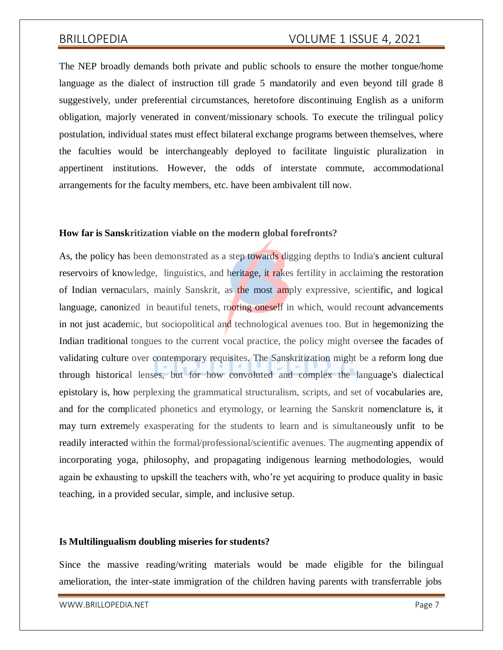The NEP broadly demands both private and public schools to ensure the mother tongue/home language as the dialect of instruction till grade 5 mandatorily and even beyond till grade 8 suggestively, under preferential circumstances, heretofore discontinuing English as a uniform obligation, majorly venerated in convent/missionary schools. To execute the trilingual policy postulation, individual states must effect bilateral exchange programs between themselves, where the faculties would be interchangeably deployed to facilitate linguistic pluralization in appertinent institutions. However, the odds of interstate commute, accommodational arrangements for the faculty members, etc. have been ambivalent till now.

### **How far is Sanskritization viable on the modern global forefronts?**

As, the policy has been demonstrated as a step towards digging depths to India's ancient cultural reservoirs of knowledge, linguistics, and heritage, it rakes fertility in acclaiming the restoration of Indian vernaculars, mainly Sanskrit, as the most amply expressive, scientific, and logical language, canonized in beautiful tenets, rooting oneself in which, would recount advancements in not just academic, but sociopolitical and technological avenues too. But in hegemonizing the Indian traditional tongues to the current vocal practice, the policy might oversee the facades of validating culture over contemporary requisites. The Sanskritization might be a reform long due through historical lenses, but for how convoluted and complex the language's dialectical epistolary is, how perplexing the grammatical structuralism, scripts, and set of vocabularies are, and for the complicated phonetics and etymology, or learning the Sanskrit nomenclature is, it may turn extremely exasperating for the students to learn and is simultaneously unfit to be readily interacted within the formal/professional/scientific avenues. The augmenting appendix of incorporating yoga, philosophy, and propagating indigenous learning methodologies, would again be exhausting to upskill the teachers with, who're yet acquiring to produce quality in basic teaching, in a provided secular, simple, and inclusive setup.

### **Is Multilingualism doubling miseries for students?**

Since the massive reading/writing materials would be made eligible for the bilingual amelioration, the inter-state immigration of the children having parents with transferrable jobs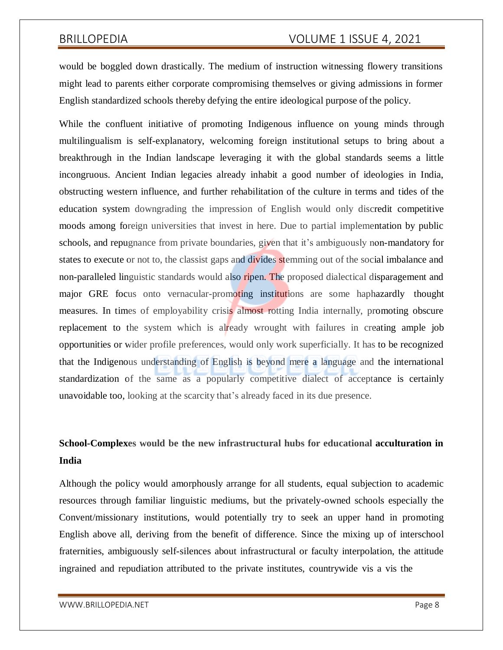would be boggled down drastically. The medium of instruction witnessing flowery transitions might lead to parents either corporate compromising themselves or giving admissions in former English standardized schools thereby defying the entire ideological purpose of the policy.

While the confluent initiative of promoting Indigenous influence on young minds through multilingualism is self-explanatory, welcoming foreign institutional setups to bring about a breakthrough in the Indian landscape leveraging it with the global standards seems a little incongruous. Ancient Indian legacies already inhabit a good number of ideologies in India, obstructing western influence, and further rehabilitation of the culture in terms and tides of the education system downgrading the impression of English would only discredit competitive moods among foreign universities that invest in here. Due to partial implementation by public schools, and repugnance from private boundaries, given that it's ambiguously non-mandatory for states to execute or not to, the classist gaps and divides stemming out of the social imbalance and non-paralleled linguistic standards would also ripen. The proposed dialectical disparagement and major GRE focus onto vernacular-promoting institutions are some haphazardly thought measures. In times of employability crisis almost rotting India internally, promoting obscure replacement to the system which is already wrought with failures in creating ample job opportunities or wider profile preferences, would only work superficially. It has to be recognized that the Indigenous understanding of English is beyond mere a language and the international standardization of the same as a popularly competitive dialect of acceptance is certainly unavoidable too, looking at the scarcity that's already faced in its due presence.

# **School-Complexes would be the new infrastructural hubs for educational acculturation in India**

Although the policy would amorphously arrange for all students, equal subjection to academic resources through familiar linguistic mediums, but the privately-owned schools especially the Convent/missionary institutions, would potentially try to seek an upper hand in promoting English above all, deriving from the benefit of difference. Since the mixing up of interschool fraternities, ambiguously self-silences about infrastructural or faculty interpolation, the attitude ingrained and repudiation attributed to the private institutes, countrywide vis a vis the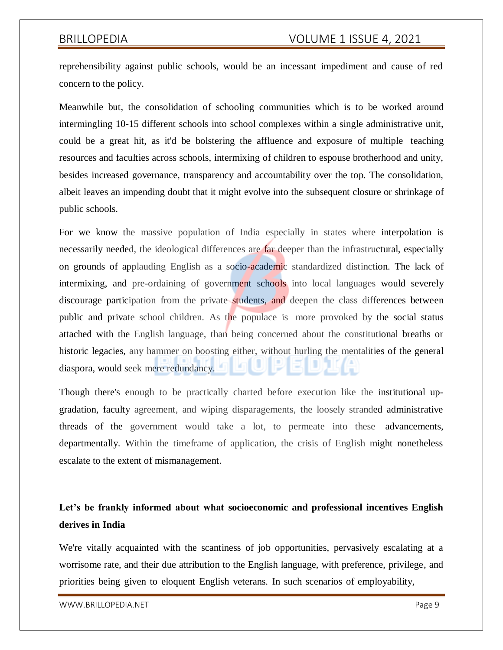reprehensibility against public schools, would be an incessant impediment and cause of red concern to the policy.

Meanwhile but, the consolidation of schooling communities which is to be worked around intermingling 10-15 different schools into school complexes within a single administrative unit, could be a great hit, as it'd be bolstering the affluence and exposure of multiple teaching resources and faculties across schools, intermixing of children to espouse brotherhood and unity, besides increased governance, transparency and accountability over the top. The consolidation, albeit leaves an impending doubt that it might evolve into the subsequent closure or shrinkage of public schools.

For we know the massive population of India especially in states where interpolation is necessarily needed, the ideological differences are far deeper than the infrastructural, especially on grounds of applauding English as a socio-academic standardized distinction. The lack of intermixing, and pre-ordaining of government schools into local languages would severely discourage participation from the private students, and deepen the class differences between public and private school children. As the populace is more provoked by the social status attached with the English language, than being concerned about the constitutional breaths or historic legacies, any hammer on boosting either, without hurling the mentalities of the general diaspora, would seek mere redundancy.

Though there's enough to be practically charted before execution like the institutional upgradation, faculty agreement, and wiping disparagements, the loosely stranded administrative threads of the government would take a lot, to permeate into these advancements, departmentally. Within the timeframe of application, the crisis of English might nonetheless escalate to the extent of mismanagement.

# **Let's be frankly informed about what socioeconomic and professional incentives English derives in India**

We're vitally acquainted with the scantiness of job opportunities, pervasively escalating at a worrisome rate, and their due attribution to the English language, with preference, privilege, and priorities being given to eloquent English veterans. In such scenarios of employability,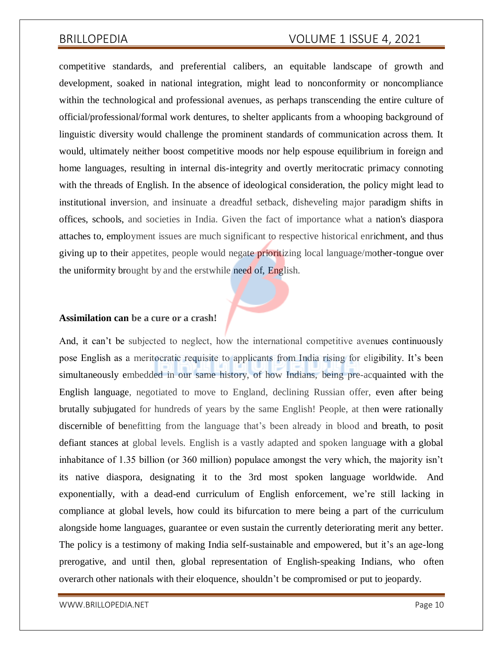competitive standards, and preferential calibers, an equitable landscape of growth and development, soaked in national integration, might lead to nonconformity or noncompliance within the technological and professional avenues, as perhaps transcending the entire culture of official/professional/formal work dentures, to shelter applicants from a whooping background of linguistic diversity would challenge the prominent standards of communication across them. It would, ultimately neither boost competitive moods nor help espouse equilibrium in foreign and home languages, resulting in internal dis-integrity and overtly meritocratic primacy connoting with the threads of English. In the absence of ideological consideration, the policy might lead to institutional inversion, and insinuate a dreadful setback, disheveling major paradigm shifts in offices, schools, and societies in India. Given the fact of importance what a nation's diaspora attaches to, employment issues are much significant to respective historical enrichment, and thus giving up to their appetites, people would negate prioritizing local language/mother-tongue over the uniformity brought by and the erstwhile need of, English.

### **Assimilation can be a cure or a crash!**

And, it can't be subjected to neglect, how the international competitive avenues continuously pose English as a meritocratic requisite to applicants from India rising for eligibility. It's been simultaneously embedded in our same history, of how Indians, being pre-acquainted with the English language, negotiated to move to England, declining Russian offer, even after being brutally subjugated for hundreds of years by the same English! People, at then were rationally discernible of benefitting from the language that's been already in blood and breath, to posit defiant stances at global levels. English is a vastly adapted and spoken language with a global inhabitance of 1.35 billion (or 360 million) populace amongst the very which, the majority isn't its native diaspora, designating it to the 3rd most spoken language worldwide. And exponentially, with a dead-end curriculum of English enforcement, we're still lacking in compliance at global levels, how could its bifurcation to mere being a part of the curriculum alongside home languages, guarantee or even sustain the currently deteriorating merit any better. The policy is a testimony of making India self-sustainable and empowered, but it's an age-long prerogative, and until then, global representation of English-speaking Indians, who often overarch other nationals with their eloquence, shouldn't be compromised or put to jeopardy.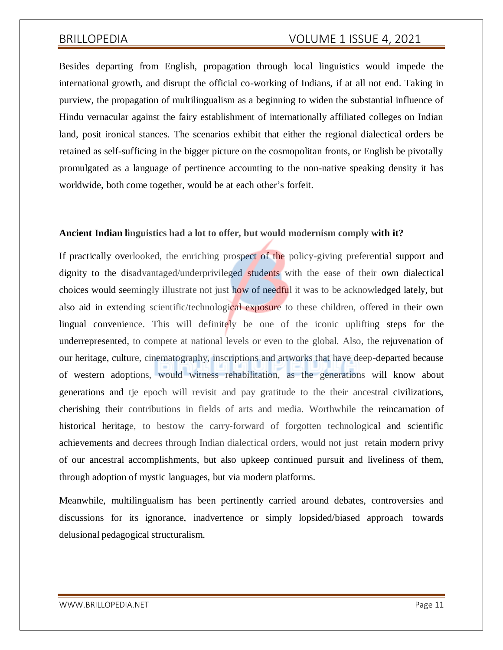Besides departing from English, propagation through local linguistics would impede the international growth, and disrupt the official co-working of Indians, if at all not end. Taking in purview, the propagation of multilingualism as a beginning to widen the substantial influence of Hindu vernacular against the fairy establishment of internationally affiliated colleges on Indian land, posit ironical stances. The scenarios exhibit that either the regional dialectical orders be retained as self-sufficing in the bigger picture on the cosmopolitan fronts, or English be pivotally promulgated as a language of pertinence accounting to the non-native speaking density it has worldwide, both come together, would be at each other's forfeit.

### **Ancient Indian linguistics had a lot to offer, but would modernism comply with it?**

If practically overlooked, the enriching prospect of the policy-giving preferential support and dignity to the disadvantaged/underprivileged students with the ease of their own dialectical choices would seemingly illustrate not just how of needful it was to be acknowledged lately, but also aid in extending scientific/technological exposure to these children, offered in their own lingual convenience. This will definitely be one of the iconic uplifting steps for the underrepresented, to compete at national levels or even to the global. Also, the rejuvenation of our heritage, culture, cinematography, inscriptions and artworks that have deep-departed because of western adoptions, would witness rehabilitation, as the generations will know about generations and tje epoch will revisit and pay gratitude to the their ancestral civilizations, cherishing their contributions in fields of arts and media. Worthwhile the reincarnation of historical heritage, to bestow the carry-forward of forgotten technological and scientific achievements and decrees through Indian dialectical orders, would not just retain modern privy of our ancestral accomplishments, but also upkeep continued pursuit and liveliness of them, through adoption of mystic languages, but via modern platforms.

Meanwhile, multilingualism has been pertinently carried around debates, controversies and discussions for its ignorance, inadvertence or simply lopsided/biased approach towards delusional pedagogical structuralism.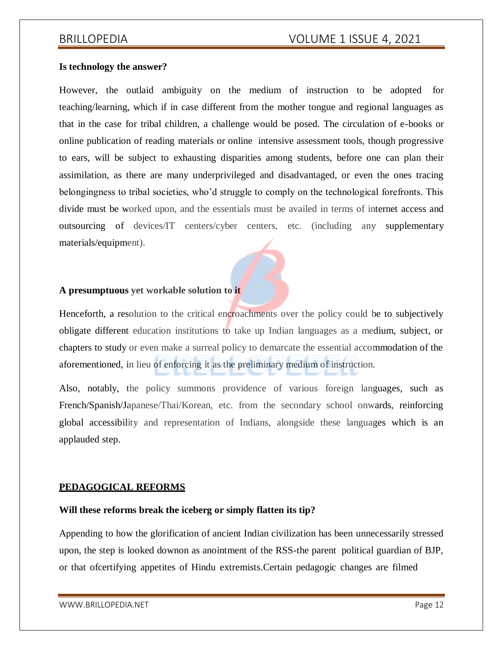### **Is technology the answer?**

However, the outlaid ambiguity on the medium of instruction to be adopted for teaching/learning, which if in case different from the mother tongue and regional languages as that in the case for tribal children, a challenge would be posed. The circulation of e-books or online publication of reading materials or online intensive assessment tools, though progressive to ears, will be subject to exhausting disparities among students, before one can plan their assimilation, as there are many underprivileged and disadvantaged, or even the ones tracing belongingness to tribal societies, who'd struggle to comply on the technological forefronts. This divide must be worked upon, and the essentials must be availed in terms of internet access and outsourcing of devices/IT centers/cyber centers, etc. (including any supplementary materials/equipment).

### **A presumptuous yet workable solution to it**

Henceforth, a resolution to the critical encroachments over the policy could be to subjectively obligate different education institutions to take up Indian languages as a medium, subject, or chapters to study or even make a surreal policy to demarcate the essential accommodation of the aforementioned, in lieu of enforcing it as the preliminary medium of instruction.

Also, notably, the policy summons providence of various foreign languages, such as French/Spanish/Japanese/Thai/Korean, etc. from the secondary school onwards, reinforcing global accessibility and representation of Indians, alongside these languages which is an applauded step.

### **PEDAGOGICAL REFORMS**

### **Will these reforms break the iceberg or simply flatten its tip?**

Appending to how the glorification of ancient Indian civilization has been unnecessarily stressed upon, the step is looked downon as anointment of the RSS-the parent political guardian of BJP, or that ofcertifying appetites of Hindu extremists.Certain pedagogic changes are filmed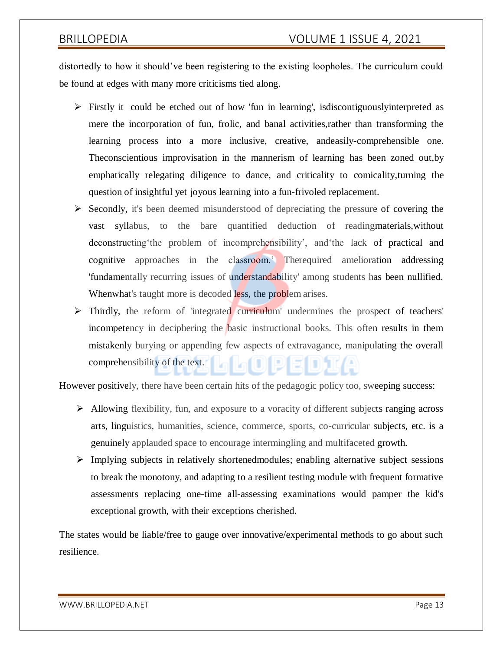distortedly to how it should've been registering to the existing loopholes. The curriculum could be found at edges with many more criticisms tied along.

- $\triangleright$  Firstly it could be etched out of how 'fun in learning', isdiscontiguously interpreted as mere the incorporation of fun, frolic, and banal activities,rather than transforming the learning process into a more inclusive, creative, andeasily-comprehensible one. Theconscientious improvisation in the mannerism of learning has been zoned out,by emphatically relegating diligence to dance, and criticality to comicality,turning the question of insightful yet joyous learning into a fun-frivoled replacement.
- $\triangleright$  Secondly, it's been deemed misunderstood of depreciating the pressure of covering the vast syllabus, to the bare quantified deduction of readingmaterials,without deconstructing'the problem of incomprehensibility', and'the lack of practical and cognitive approaches in the classroom.' Therequired amelioration addressing 'fundamentally recurring issues of understandability' among students has been nullified. Whenwhat's taught more is decoded less, the problem arises.
- Thirdly, the reform of 'integrated curriculum' undermines the prospect of teachers' incompetency in deciphering the basic instructional books. This often results in them mistakenly burying or appending few aspects of extravagance, manipulating the overall comprehensibility of the text.

However positively, there have been certain hits of the pedagogic policy too, sweeping success:

- Allowing flexibility, fun, and exposure to a voracity of different subjects ranging across arts, linguistics, humanities, science, commerce, sports, co-curricular subjects, etc. is a genuinely applauded space to encourage intermingling and multifaceted growth.
- $\triangleright$  Implying subjects in relatively shortenedmodules; enabling alternative subject sessions to break the monotony, and adapting to a resilient testing module with frequent formative assessments replacing one-time all-assessing examinations would pamper the kid's exceptional growth, with their exceptions cherished.

The states would be liable/free to gauge over innovative/experimental methods to go about such resilience.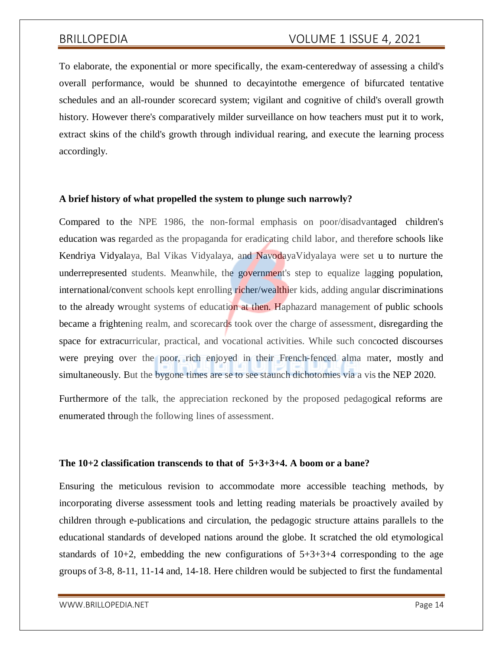To elaborate, the exponential or more specifically, the exam-centeredway of assessing a child's overall performance, would be shunned to decayintothe emergence of bifurcated tentative schedules and an all-rounder scorecard system; vigilant and cognitive of child's overall growth history. However there's comparatively milder surveillance on how teachers must put it to work, extract skins of the child's growth through individual rearing, and execute the learning process accordingly.

### **A brief history of what propelled the system to plunge such narrowly?**

Compared to the NPE 1986, the non-formal emphasis on poor/disadvantaged children's education was regarded as the propaganda for eradicating child labor, and therefore schools like Kendriya Vidyalaya, Bal Vikas Vidyalaya, and NavodayaVidyalaya were set u to nurture the underrepresented students. Meanwhile, the government's step to equalize lagging population, international/convent schools kept enrolling richer/wealthier kids, adding angular discriminations to the already wrought systems of education at then. Haphazard management of public schools became a frightening realm, and scorecards took over the charge of assessment, disregarding the space for extracurricular, practical, and vocational activities. While such concocted discourses were preying over the poor, rich enjoyed in their French-fenced alma mater, mostly and simultaneously. But the bygone times are se to see staunch dichotomies via a vis the NEP 2020.

Furthermore of the talk, the appreciation reckoned by the proposed pedagogical reforms are enumerated through the following lines of assessment.

### **The 10+2 classification transcends to that of 5+3+3+4. A boom or a bane?**

Ensuring the meticulous revision to accommodate more accessible teaching methods, by incorporating diverse assessment tools and letting reading materials be proactively availed by children through e-publications and circulation, the pedagogic structure attains parallels to the educational standards of developed nations around the globe. It scratched the old etymological standards of  $10+2$ , embedding the new configurations of  $5+3+3+4$  corresponding to the age groups of 3-8, 8-11, 11-14 and, 14-18. Here children would be subjected to first the fundamental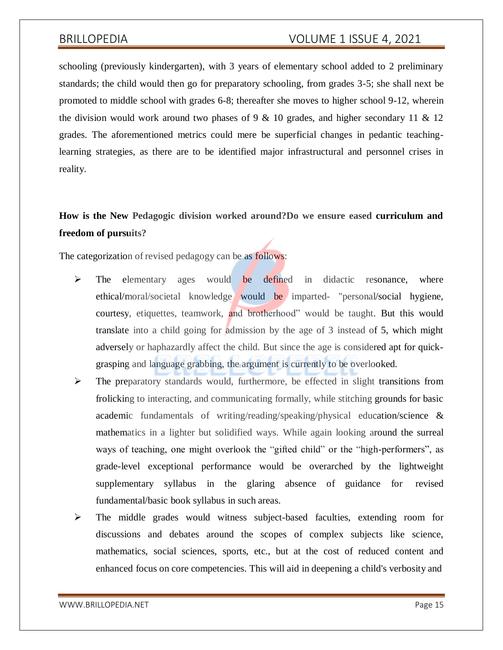schooling (previously kindergarten), with 3 years of elementary school added to 2 preliminary standards; the child would then go for preparatory schooling, from grades 3-5; she shall next be promoted to middle school with grades 6-8; thereafter she moves to higher school 9-12, wherein the division would work around two phases of 9  $\&$  10 grades, and higher secondary 11  $\&$  12 grades. The aforementioned metrics could mere be superficial changes in pedantic teachinglearning strategies, as there are to be identified major infrastructural and personnel crises in reality.

# **How is the New Pedagogic division worked around?Do we ensure eased curriculum and freedom of pursuits?**

The categorization of revised pedagogy can be as **follows**:

- $\triangleright$  The elementary ages would be defined in didactic resonance, where ethical/moral/societal knowledge would be imparted- "personal/social hygiene, courtesy, etiquettes, teamwork, and brotherhood" would be taught. But this would translate into a child going for admission by the age of 3 instead of 5, which might adversely or haphazardly affect the child. But since the age is considered apt for quickgrasping and language grabbing, the argument is currently to be overlooked.
- $\triangleright$  The preparatory standards would, furthermore, be effected in slight transitions from frolicking to interacting, and communicating formally, while stitching grounds for basic academic fundamentals of writing/reading/speaking/physical education/science & mathematics in a lighter but solidified ways. While again looking around the surreal ways of teaching, one might overlook the "gifted child" or the "high-performers", as grade-level exceptional performance would be overarched by the lightweight supplementary syllabus in the glaring absence of guidance for revised fundamental/basic book syllabus in such areas.
- The middle grades would witness subject-based faculties, extending room for discussions and debates around the scopes of complex subjects like science, mathematics, social sciences, sports, etc., but at the cost of reduced content and enhanced focus on core competencies. This will aid in deepening a child's verbosity and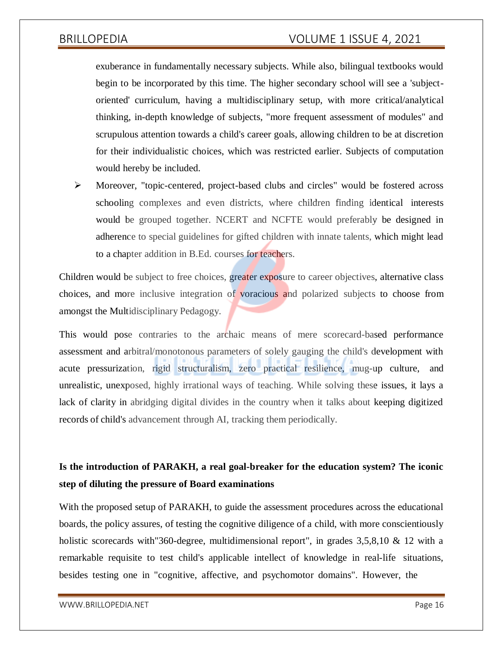exuberance in fundamentally necessary subjects. While also, bilingual textbooks would begin to be incorporated by this time. The higher secondary school will see a 'subjectoriented' curriculum, having a multidisciplinary setup, with more critical/analytical thinking, in-depth knowledge of subjects, "more frequent assessment of modules" and scrupulous attention towards a child's career goals, allowing children to be at discretion for their individualistic choices, which was restricted earlier. Subjects of computation would hereby be included.

 Moreover, "topic-centered, project-based clubs and circles" would be fostered across schooling complexes and even districts, where children finding identical interests would be grouped together. NCERT and NCFTE would preferably be designed in adherence to special guidelines for gifted children with innate talents, which might lead to a chapter addition in B.Ed. courses for teachers.

Children would be subject to free choices, greater exposure to career objectives, alternative class choices, and more inclusive integration of voracious and polarized subjects to choose from amongst the Multidisciplinary Pedagogy.

This would pose contraries to the archaic means of mere scorecard-based performance assessment and arbitral/monotonous parameters of solely gauging the child's development with acute pressurization, rigid structuralism, zero practical resilience, mug-up culture, and unrealistic, unexposed, highly irrational ways of teaching. While solving these issues, it lays a lack of clarity in abridging digital divides in the country when it talks about keeping digitized records of child's advancement through AI, tracking them periodically.

# **Is the introduction of PARAKH, a real goal-breaker for the education system? The iconic step of diluting the pressure of Board examinations**

With the proposed setup of PARAKH, to guide the assessment procedures across the educational boards, the policy assures, of testing the cognitive diligence of a child, with more conscientiously holistic scorecards with 360-degree, multidimensional report", in grades 3,5,8,10 & 12 with a remarkable requisite to test child's applicable intellect of knowledge in real-life situations, besides testing one in "cognitive, affective, and psychomotor domains". However, the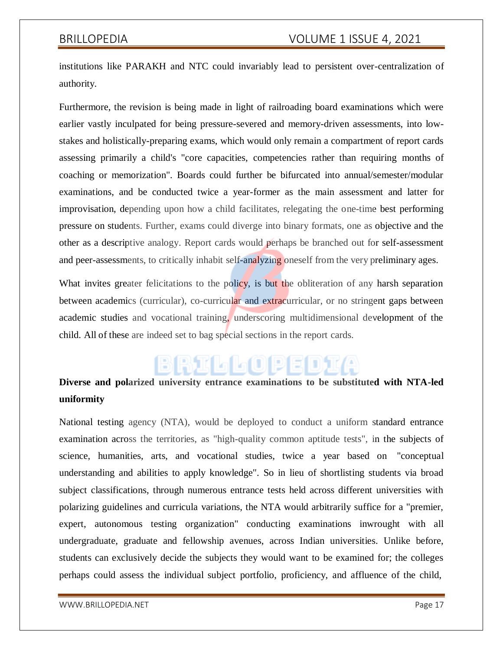institutions like PARAKH and NTC could invariably lead to persistent over-centralization of authority.

Furthermore, the revision is being made in light of railroading board examinations which were earlier vastly inculpated for being pressure-severed and memory-driven assessments, into lowstakes and holistically-preparing exams, which would only remain a compartment of report cards assessing primarily a child's "core capacities, competencies rather than requiring months of coaching or memorization". Boards could further be bifurcated into annual/semester/modular examinations, and be conducted twice a year-former as the main assessment and latter for improvisation, depending upon how a child facilitates, relegating the one-time best performing pressure on students. Further, exams could diverge into binary formats, one as objective and the other as a descriptive analogy. Report cards would perhaps be branched out for self-assessment and peer-assessments, to critically inhabit self-analyzing oneself from the very preliminary ages.

What invites greater felicitations to the policy, is but the obliteration of any harsh separation between academics (curricular), co-curricular and extracurricular, or no stringent gaps between academic studies and vocational training, underscoring multidimensional development of the child. All of these are indeed set to bag special sections in the report cards.

# **Diverse and polarized university entrance examinations to be substituted with NTA-led uniformity**

National testing agency (NTA), would be deployed to conduct a uniform standard entrance examination across the territories, as "high-quality common aptitude tests", in the subjects of science, humanities, arts, and vocational studies, twice a year based on "conceptual understanding and abilities to apply knowledge". So in lieu of shortlisting students via broad subject classifications, through numerous entrance tests held across different universities with polarizing guidelines and curricula variations, the NTA would arbitrarily suffice for a "premier, expert, autonomous testing organization" conducting examinations inwrought with all undergraduate, graduate and fellowship avenues, across Indian universities. Unlike before, students can exclusively decide the subjects they would want to be examined for; the colleges perhaps could assess the individual subject portfolio, proficiency, and affluence of the child,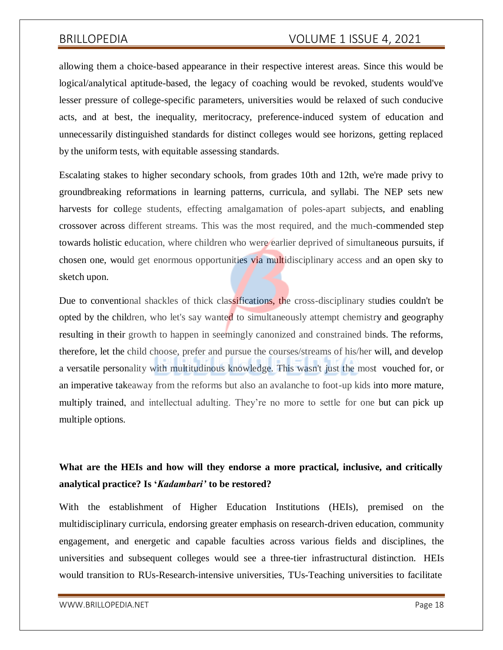allowing them a choice-based appearance in their respective interest areas. Since this would be logical/analytical aptitude-based, the legacy of coaching would be revoked, students would've lesser pressure of college-specific parameters, universities would be relaxed of such conducive acts, and at best, the inequality, meritocracy, preference-induced system of education and unnecessarily distinguished standards for distinct colleges would see horizons, getting replaced by the uniform tests, with equitable assessing standards.

Escalating stakes to higher secondary schools, from grades 10th and 12th, we're made privy to groundbreaking reformations in learning patterns, curricula, and syllabi. The NEP sets new harvests for college students, effecting amalgamation of poles-apart subjects, and enabling crossover across different streams. This was the most required, and the much-commended step towards holistic education, where children who were earlier deprived of simultaneous pursuits, if chosen one, would get enormous opportunities via multidisciplinary access and an open sky to sketch upon.

Due to conventional shackles of thick classifications, the cross-disciplinary studies couldn't be opted by the children, who let's say wanted to simultaneously attempt chemistry and geography resulting in their growth to happen in seemingly canonized and constrained binds. The reforms, therefore, let the child choose, prefer and pursue the courses/streams of his/her will, and develop a versatile personality with multitudinous knowledge. This wasn't just the most vouched for, or an imperative takeaway from the reforms but also an avalanche to foot-up kids into more mature, multiply trained, and intellectual adulting. They're no more to settle for one but can pick up multiple options.

# **What are the HEIs and how will they endorse a more practical, inclusive, and critically analytical practice? Is '***Kadambari'* **to be restored?**

With the establishment of Higher Education Institutions (HEIs), premised on the multidisciplinary curricula, endorsing greater emphasis on research-driven education, community engagement, and energetic and capable faculties across various fields and disciplines, the universities and subsequent colleges would see a three-tier infrastructural distinction. HEIs would transition to RUs-Research-intensive universities, TUs-Teaching universities to facilitate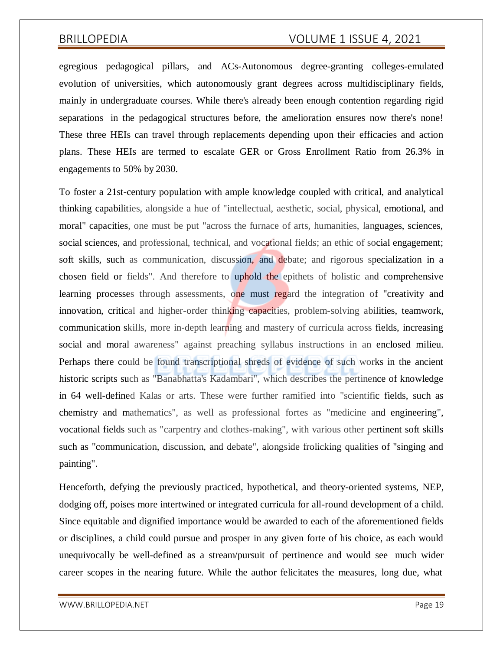egregious pedagogical pillars, and ACs-Autonomous degree-granting colleges-emulated evolution of universities, which autonomously grant degrees across multidisciplinary fields, mainly in undergraduate courses. While there's already been enough contention regarding rigid separations in the pedagogical structures before, the amelioration ensures now there's none! These three HEIs can travel through replacements depending upon their efficacies and action plans. These HEIs are termed to escalate GER or Gross Enrollment Ratio from 26.3% in engagements to 50% by 2030.

To foster a 21st-century population with ample knowledge coupled with critical, and analytical thinking capabilities, alongside a hue of "intellectual, aesthetic, social, physical, emotional, and moral" capacities, one must be put "across the furnace of arts, humanities, languages, sciences, social sciences, and professional, technical, and vocational fields; an ethic of social engagement; soft skills, such as communication, discussion, and debate; and rigorous specialization in a chosen field or fields". And therefore to uphold the epithets of holistic and comprehensive learning processes through assessments, one must regard the integration of "creativity and innovation, critical and higher-order thinking capacities, problem-solving abilities, teamwork, communication skills, more in-depth learning and mastery of curricula across fields, increasing social and moral awareness" against preaching syllabus instructions in an enclosed milieu. Perhaps there could be found transcriptional shreds of evidence of such works in the ancient historic scripts such as "Banabhatta's Kadambari", which describes the pertinence of knowledge in 64 well-defined Kalas or arts. These were further ramified into "scientific fields, such as chemistry and mathematics", as well as professional fortes as "medicine and engineering", vocational fields such as "carpentry and clothes-making", with various other pertinent soft skills such as "communication, discussion, and debate", alongside frolicking qualities of "singing and painting".

Henceforth, defying the previously practiced, hypothetical, and theory-oriented systems, NEP, dodging off, poises more intertwined or integrated curricula for all-round development of a child. Since equitable and dignified importance would be awarded to each of the aforementioned fields or disciplines, a child could pursue and prosper in any given forte of his choice, as each would unequivocally be well-defined as a stream/pursuit of pertinence and would see much wider career scopes in the nearing future. While the author felicitates the measures, long due, what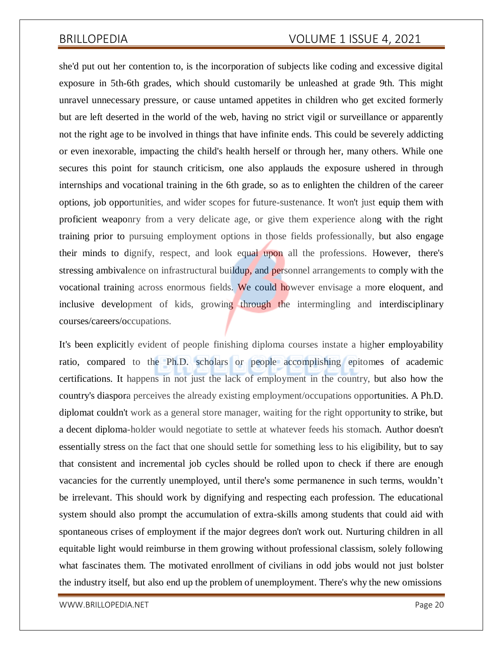she'd put out her contention to, is the incorporation of subjects like coding and excessive digital exposure in 5th-6th grades, which should customarily be unleashed at grade 9th. This might unravel unnecessary pressure, or cause untamed appetites in children who get excited formerly but are left deserted in the world of the web, having no strict vigil or surveillance or apparently not the right age to be involved in things that have infinite ends. This could be severely addicting or even inexorable, impacting the child's health herself or through her, many others. While one secures this point for staunch criticism, one also applauds the exposure ushered in through internships and vocational training in the 6th grade, so as to enlighten the children of the career options, job opportunities, and wider scopes for future-sustenance. It won't just equip them with proficient weaponry from a very delicate age, or give them experience along with the right training prior to pursuing employment options in those fields professionally, but also engage their minds to dignify, respect, and look equal upon all the professions. However, there's stressing ambivalence on infrastructural buildup, and personnel arrangements to comply with the vocational training across enormous fields. We could however envisage a more eloquent, and inclusive development of kids, growing through the intermingling and interdisciplinary courses/careers/occupations.

It's been explicitly evident of people finishing diploma courses instate a higher employability ratio, compared to the Ph.D. scholars or people accomplishing epitomes of academic certifications. It happens in not just the lack of employment in the country, but also how the country's diaspora perceives the already existing employment/occupations opportunities. A Ph.D. diplomat couldn't work as a general store manager, waiting for the right opportunity to strike, but a decent diploma-holder would negotiate to settle at whatever feeds his stomach. Author doesn't essentially stress on the fact that one should settle for something less to his eligibility, but to say that consistent and incremental job cycles should be rolled upon to check if there are enough vacancies for the currently unemployed, until there's some permanence in such terms, wouldn't be irrelevant. This should work by dignifying and respecting each profession. The educational system should also prompt the accumulation of extra-skills among students that could aid with spontaneous crises of employment if the major degrees don't work out. Nurturing children in all equitable light would reimburse in them growing without professional classism, solely following what fascinates them. The motivated enrollment of civilians in odd jobs would not just bolster the industry itself, but also end up the problem of unemployment. There's why the new omissions

[WWW.BRILLOPEDIA.NET](http://www.brillopedia.net/) AND A SERVICE OF A SERVICE OF A SERVICE OF A SERVICE OF A SERVICE OF A SERVICE OF A SERVICE OF A SERVICE OF A SERVICE OF A SERVICE OF A SERVICE OF A SERVICE OF A SERVICE OF A SERVICE OF A SERVICE OF A S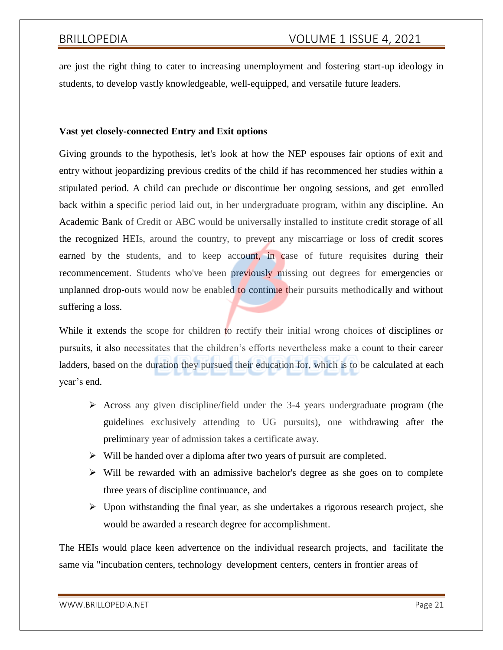are just the right thing to cater to increasing unemployment and fostering start-up ideology in students, to develop vastly knowledgeable, well-equipped, and versatile future leaders.

### **Vast yet closely-connected Entry and Exit options**

Giving grounds to the hypothesis, let's look at how the NEP espouses fair options of exit and entry without jeopardizing previous credits of the child if has recommenced her studies within a stipulated period. A child can preclude or discontinue her ongoing sessions, and get enrolled back within a specific period laid out, in her undergraduate program, within any discipline. An Academic Bank of Credit or ABC would be universally installed to institute credit storage of all the recognized HEIs, around the country, to prevent any miscarriage or loss of credit scores earned by the students, and to keep account, in case of future requisites during their recommencement. Students who've been previously missing out degrees for emergencies or unplanned drop-outs would now be enabled to continue their pursuits methodically and without suffering a loss.

While it extends the scope for children to rectify their initial wrong choices of disciplines or pursuits, it also necessitates that the children's efforts nevertheless make a count to their career ladders, based on the duration they pursued their education for, which is to be calculated at each year's end.

- $\triangleright$  Across any given discipline/field under the 3-4 years undergraduate program (the guidelines exclusively attending to UG pursuits), one withdrawing after the preliminary year of admission takes a certificate away.
- $\triangleright$  Will be handed over a diploma after two years of pursuit are completed.
- $\triangleright$  Will be rewarded with an admissive bachelor's degree as she goes on to complete three years of discipline continuance, and
- $\triangleright$  Upon withstanding the final year, as she undertakes a rigorous research project, she would be awarded a research degree for accomplishment.

The HEIs would place keen advertence on the individual research projects, and facilitate the same via "incubation centers, technology development centers, centers in frontier areas of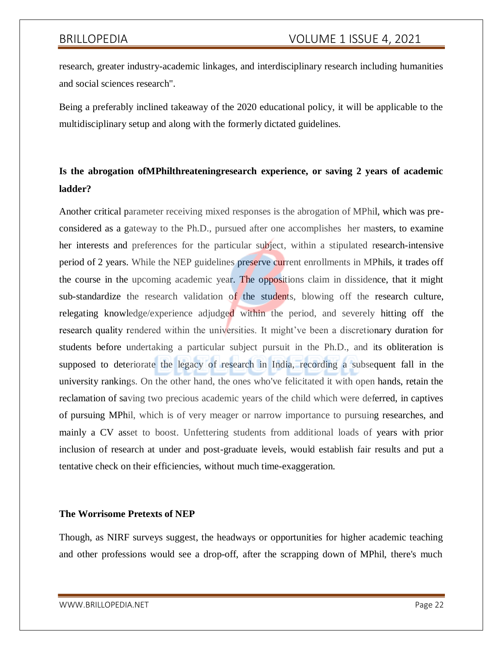research, greater industry-academic linkages, and interdisciplinary research including humanities and social sciences research".

Being a preferably inclined takeaway of the 2020 educational policy, it will be applicable to the multidisciplinary setup and along with the formerly dictated guidelines.

# **Is the abrogation ofMPhilthreateningresearch experience, or saving 2 years of academic ladder?**

Another critical parameter receiving mixed responses is the abrogation of MPhil, which was preconsidered as a gateway to the Ph.D., pursued after one accomplishes her masters, to examine her interests and preferences for the particular subject, within a stipulated research-intensive period of 2 years. While the NEP guidelines preserve current enrollments in MPhils, it trades off the course in the upcoming academic year. The oppositions claim in dissidence, that it might sub-standardize the research validation of the students, blowing off the research culture, relegating knowledge/experience adjudged within the period, and severely hitting off the research quality rendered within the universities. It might've been a discretionary duration for students before undertaking a particular subject pursuit in the Ph.D., and its obliteration is supposed to deteriorate the legacy of research in India, recording a subsequent fall in the university rankings. On the other hand, the ones who've felicitated it with open hands, retain the reclamation of saving two precious academic years of the child which were deferred, in captives of pursuing MPhil, which is of very meager or narrow importance to pursuing researches, and mainly a CV asset to boost. Unfettering students from additional loads of years with prior inclusion of research at under and post-graduate levels, would establish fair results and put a tentative check on their efficiencies, without much time-exaggeration.

### **The Worrisome Pretexts of NEP**

Though, as NIRF surveys suggest, the headways or opportunities for higher academic teaching and other professions would see a drop-off, after the scrapping down of MPhil, there's much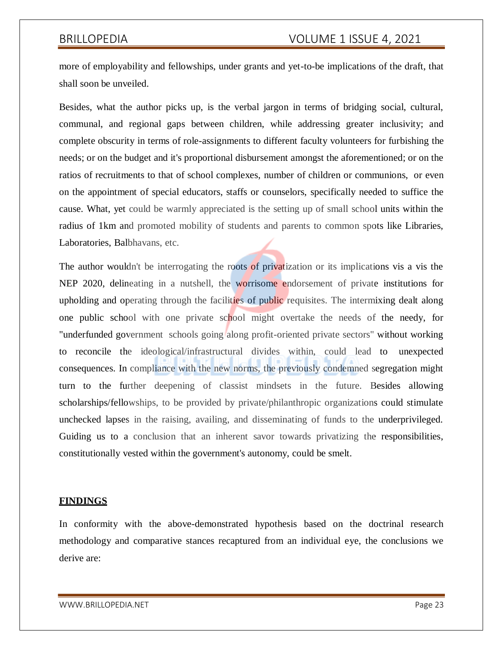more of employability and fellowships, under grants and yet-to-be implications of the draft, that shall soon be unveiled.

Besides, what the author picks up, is the verbal jargon in terms of bridging social, cultural, communal, and regional gaps between children, while addressing greater inclusivity; and complete obscurity in terms of role-assignments to different faculty volunteers for furbishing the needs; or on the budget and it's proportional disbursement amongst the aforementioned; or on the ratios of recruitments to that of school complexes, number of children or communions, or even on the appointment of special educators, staffs or counselors, specifically needed to suffice the cause. What, yet could be warmly appreciated is the setting up of small school units within the radius of 1km and promoted mobility of students and parents to common spots like Libraries, Laboratories, Balbhavans, etc.

The author wouldn't be interrogating the roots of privatization or its implications vis a vis the NEP 2020, delineating in a nutshell, the worrisome endorsement of private institutions for upholding and operating through the facilities of public requisites. The intermixing dealt along one public school with one private school might overtake the needs of the needy, for "underfunded government schools going along profit-oriented private sectors" without working to reconcile the ideological/infrastructural divides within, could lead to unexpected consequences. In compliance with the new norms, the previously condemned segregation might turn to the further deepening of classist mindsets in the future. Besides allowing scholarships/fellowships, to be provided by private/philanthropic organizations could stimulate unchecked lapses in the raising, availing, and disseminating of funds to the underprivileged. Guiding us to a conclusion that an inherent savor towards privatizing the responsibilities, constitutionally vested within the government's autonomy, could be smelt.

### **FINDINGS**

In conformity with the above-demonstrated hypothesis based on the doctrinal research methodology and comparative stances recaptured from an individual eye, the conclusions we derive are: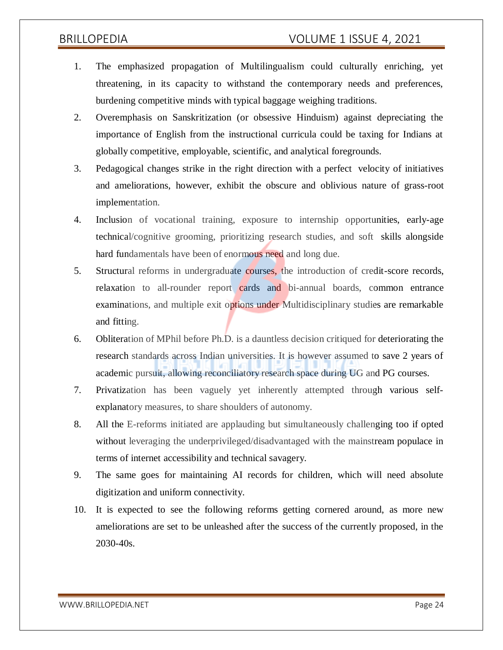- 1. The emphasized propagation of Multilingualism could culturally enriching, yet threatening, in its capacity to withstand the contemporary needs and preferences, burdening competitive minds with typical baggage weighing traditions.
- 2. Overemphasis on Sanskritization (or obsessive Hinduism) against depreciating the importance of English from the instructional curricula could be taxing for Indians at globally competitive, employable, scientific, and analytical foregrounds.
- 3. Pedagogical changes strike in the right direction with a perfect velocity of initiatives and ameliorations, however, exhibit the obscure and oblivious nature of grass-root implementation.
- 4. Inclusion of vocational training, exposure to internship opportunities, early-age technical/cognitive grooming, prioritizing research studies, and soft skills alongside hard fundamentals have been of enormous need and long due.
- 5. Structural reforms in undergraduate courses, the introduction of credit-score records, relaxation to all-rounder report cards and bi-annual boards, common entrance examinations, and multiple exit options under Multidisciplinary studies are remarkable and fitting.
- 6. Obliteration of MPhil before Ph.D. is a dauntless decision critiqued for deteriorating the research standards across Indian universities. It is however assumed to save 2 years of academic pursuit, allowing reconciliatory research space during UG and PG courses.
- 7. Privatization has been vaguely yet inherently attempted through various selfexplanatory measures, to share shoulders of autonomy.
- 8. All the E-reforms initiated are applauding but simultaneously challenging too if opted without leveraging the underprivileged/disadvantaged with the mainstream populace in terms of internet accessibility and technical savagery.
- 9. The same goes for maintaining AI records for children, which will need absolute digitization and uniform connectivity.
- 10. It is expected to see the following reforms getting cornered around, as more new ameliorations are set to be unleashed after the success of the currently proposed, in the 2030-40s.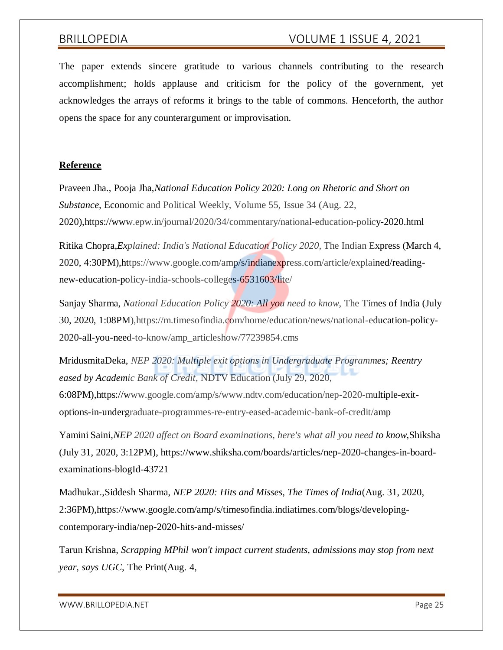The paper extends sincere gratitude to various channels contributing to the research accomplishment; holds applause and criticism for the policy of the government, yet acknowledges the arrays of reforms it brings to the table of commons. Henceforth, the author opens the space for any counterargument or improvisation.

### **Reference**

Praveen Jha., Pooja Jha,*National Education Policy 2020: Long on Rhetoric and Short on Substance,* Economic and Political Weekly, Volume 55, Issue 34 (Aug. 22, 2020),https:[//www.epw.in/journal/2020/34/commentary/national-education-policy-2020.html](http://www.epw.in/journal/2020/34/commentary/national-education-policy-2020.html)

Ritika Chopra,*Explained: India's National Education Policy 2020,* The Indian Express (March 4, 2020, 4:30PM),https:[//www.google.com/amp/s/indianexpress.com/article/explained/reading](http://www.google.com/amp/s/indianexpress.com/article/explained/reading-)new-education-policy-india-schools-colleges-6531603/lite/

Sanjay Sharma, *National Education Policy 2020: All you need to know*, The Times of India (July 30, 2020, 1:08PM),https://m.timesofindia.com/home/education/news/national-education-policy-2020-all-you-need-to-know/amp\_articleshow/77239854.cms

MridusmitaDeka, *NEP 2020: Multiple exit options in Undergraduate Programmes; Reentry eased by Academic Bank of Credit,* NDTV Education (July 29, 2020, 6:08PM),https:[//www.google.com/amp/s/www.ndtv.com/education/nep-2020-multiple-exit](http://www.google.com/amp/s/www.ndtv.com/education/nep-2020-multiple-exit-)options-in-undergraduate-programmes-re-entry-eased-academic-bank-of-credit/amp

Yamini Saini,*NEP 2020 affect on Board examinations, here's what all you need to know,*Shiksha (July 31, 2020, 3:12PM), https:[//www.shiksha.com/boards/articles/nep-2020-changes-in-board](http://www.shiksha.com/boards/articles/nep-2020-changes-in-board-)examinations-blogId-43721

Madhukar.,Siddesh Sharma, *NEP 2020: Hits and Misses, The Times of India*(Aug. 31, 2020, 2:36PM),https:[//www.google.com/amp/s/timesofindia.indiatimes.com/blogs/developing](http://www.google.com/amp/s/timesofindia.indiatimes.com/blogs/developing-)contemporary-india/nep-2020-hits-and-misses/

Tarun Krishna, *Scrapping MPhil won't impact current students, admissions may stop from next year, says UGC,* The Print(Aug. 4,

[WWW.BRILLOPEDIA.NET](http://www.brillopedia.net/) Page 25